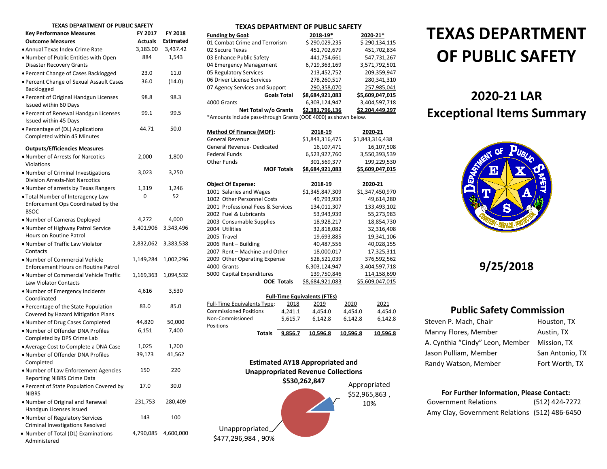#### **TEXAS DEPARTMENT OF PUBLIC SAFETY**

| ו וש כוחו<br>UF FUDLIL JI                                                  |                |           |
|----------------------------------------------------------------------------|----------------|-----------|
| <b>Key Performance Measures</b>                                            | FY 2017        | FY 2018   |
| <b>Outcome Measures</b>                                                    | <b>Actuals</b> | Estimated |
| • Annual Texas Index Crime Rate                                            | 3,183.00       | 3,437.42  |
| . Number of Public Entities with Open<br><b>Disaster Recovery Grants</b>   | 884            | 1,543     |
| · Percent Change of Cases Backlogged                                       | 23.0           | 11.0      |
|                                                                            | 36.0           | (14.0)    |
| · Percent Change of Sexual Assault Cases<br>Backlogged                     |                |           |
| · Percent of Original Handgun Licenses<br>Issued within 60 Days            | 98.8           | 98.3      |
| • Percent of Renewal Handgun Licenses<br>Issued within 45 Days             | 99.1           | 99.5      |
| · Percentage of (DL) Applications                                          | 44.71          | 50.0      |
| Completed within 45 Minutes                                                |                |           |
| <b>Outputs/Efficiencies Measures</b>                                       |                |           |
| . Number of Arrests for Narcotics                                          | 2,000          | 1,800     |
| Violations                                                                 |                |           |
| . Number of Criminal Investigations                                        | 3,023          | 3,250     |
| <b>Division Arrests-Not Narcotics</b>                                      |                |           |
| • Number of arrests by Texas Rangers                                       | 1,319          | 1,246     |
| . Total Number of Interagency Law                                          | 0              | 52        |
| Enforcement Ops Coordinated by the<br><b>BSOC</b>                          |                |           |
| . Number of Cameras Deployed                                               | 4,272          | 4,000     |
| • Number of Highway Patrol Service                                         | 3,401,906      | 3,343,496 |
| Hours on Routine Patrol                                                    |                |           |
| • Number of Traffic Law Violator<br>Contacts                               | 2,832,062      | 3,383,538 |
| . Number of Commercial Vehicle                                             | 1,149,284      | 1,002,296 |
| <b>Enforcement Hours on Routine Patrol</b>                                 |                |           |
| . Number of Commercial Vehicle Traffic<br><b>Law Violator Contacts</b>     | 1,169,363      | 1,094,532 |
| . Number of Emergency Incidents                                            | 4,616          | 3,530     |
| Coordinated                                                                |                |           |
| • Percentage of the State Population<br>Covered by Hazard Mitigation Plans | 83.0           | 85.0      |
| . Number of Drug Cases Completed                                           | 44,820         | 50,000    |
| . Number of Offender DNA Profiles                                          | 6,151          | 7,400     |
| Completed by DPS Crime Lab                                                 |                |           |
| • Average Cost to Complete a DNA Case                                      | 1,025          | 1,200     |
| . Number of Offender DNA Profiles                                          | 39,173         | 41,562    |
| Completed                                                                  |                |           |
| Number of Law Enforcement Agencies                                         | 150            | 220       |
| <b>Reporting NIBRS Crime Data</b>                                          |                |           |
| • Percent of State Population Covered by<br><b>NIBRS</b>                   | 17.0           | 30.0      |
| . Number of Original and Renewal                                           | 231,753        | 280,409   |
| Handgun Licenses Issued                                                    |                |           |
| . Number of Regulatory Services                                            | 143            | 100       |
| Criminal Investigations Resolved                                           |                |           |
| • Number of Total (DL) Examinations<br>Administered                        | 4,790,085      | 4,600,000 |

| <b>Funding by Goal:</b>                                         | 2018-19*        | 2020-21*               |
|-----------------------------------------------------------------|-----------------|------------------------|
| 01 Combat Crime and Terrorism                                   | \$290,029,235   | \$290,134,115          |
| 02 Secure Texas                                                 | 451,702,679     | 451,702,834            |
| 03 Enhance Public Safety                                        | 441,754,661     | 547,731,267            |
| 04 Emergency Management                                         | 6,719,363,169   | 3,571,792,501          |
| 05 Regulatory Services                                          | 213,452,752     | 209,359,947            |
| 06 Driver License Services                                      | 278,260,517     | 280,341,310            |
| 07 Agency Services and Support                                  | 290,358,070     | 257,985,041            |
| <b>Goals Total</b>                                              | \$8,684,921,083 | \$5,609,047,015        |
| 4000 Grants                                                     | 6,303,124,947   | 3,404,597,718          |
| Net Total w/o Grants                                            | \$2,381,796,136 | \$2,204,449,297        |
| *Amounts include pass-through Grants (OOE 4000) as shown below. |                 |                        |
|                                                                 |                 |                        |
| <b>Method Of Finance (MOF):</b>                                 | 2018-19         | 2020-21                |
| <b>General Revenue</b>                                          | \$1,843,316,475 | \$1,843,316,438        |
| General Revenue- Dedicated                                      | 16,107,471      | 16,107,508             |
| <b>Federal Funds</b>                                            | 6,523,927,760   | 3,550,393,539          |
| <b>Other Funds</b>                                              | 301,569,377     | 199,229,530            |
|                                                                 |                 |                        |
| <b>MOF Totals</b>                                               | \$8,684,921,083 | \$5,609,047,015        |
|                                                                 |                 |                        |
| <b>Object Of Expense:</b>                                       | 2018-19         | 2020-21                |
| 1001 Salaries and Wages                                         | \$1,345,847,309 | \$1,347,450,970        |
| 1002 Other Personnel Costs                                      | 49,793,939      | 49,614,280             |
| 2001 Professional Fees & Services                               | 134,011,307     | 133,493,102            |
| 2002 Fuel & Lubricants                                          | 53,943,939      | 55,273,983             |
| 2003 Consumable Supplies                                        | 18,928,217      | 18,854,730             |
| 2004 Utilities                                                  | 32,818,082      | 32,316,408             |
| 2005 Travel                                                     | 19,693,885      | 19,341,106             |
| 2006 Rent - Building                                            | 40,487,556      | 40,028,155             |
| 2007 Rent - Machine and Other                                   | 18,000,017      | 17,325,311             |
| 2009 Other Operating Expense                                    | 528,521,039     | 376,592,562            |
| 4000 Grants                                                     | 6,303,124,947   | 3,404,597,718          |
| 5000 Capital Expenditures                                       | 139,750,846     | 114,158,690            |
| <b>OOE Totals</b>                                               | \$8,684,921,083 | <u>\$5,609,047,015</u> |

| <b>Full-Time Equivalents (FTEs)</b> |         |          |          |          |  |  |
|-------------------------------------|---------|----------|----------|----------|--|--|
| <b>Full-Time Equivalents Type:</b>  | 2018    | 2019     | 2020     | 2021     |  |  |
| <b>Commissioned Positions</b>       | 4.241.1 | 4.454.0  | 4.454.0  | 4.454.0  |  |  |
| Non-Commissioned                    | 5.615.7 | 6.142.8  | 6.142.8  | 6,142.8  |  |  |
| Positions                           |         |          |          |          |  |  |
| Totals                              | 9.856.7 | 10.596.8 | 10.596.8 | 10.596.8 |  |  |



# TEXAS DEPARTMENT OF PUBLIC SAFETY<br><u>2018-19\*</u> 2018-19\* 2020-21\* TEXAS DEPARTMENT **OF PUBLIC SAFETY**

## **2020-21 LAR Exceptional Items Summary**



## **9/25/2018**

## **Public Safety Commission**

| Steven P. Mach, Chair           | Houston, TX     |
|---------------------------------|-----------------|
| Manny Flores, Member            | Austin, TX      |
| A. Cynthia "Cindy" Leon, Member | Mission. TX     |
| Jason Pulliam, Member           | San Antonio, TX |
| Randy Watson, Member            | Fort Worth, TX  |

### **For Further Information, Please Contact:**

| <b>Government Relations</b>                   | (512) 424-7272 |
|-----------------------------------------------|----------------|
| Amy Clay, Government Relations (512) 486-6450 |                |